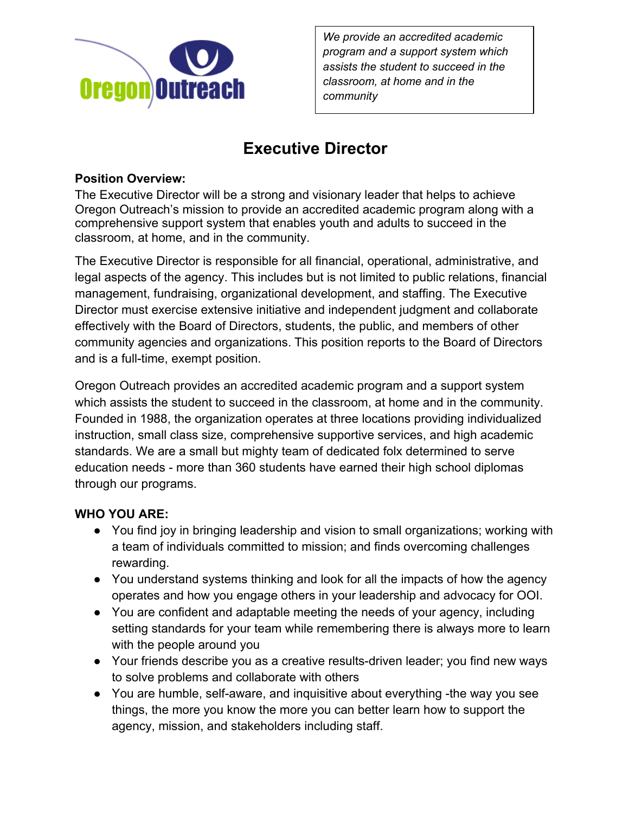

*We provide an accredited academic program and a support system which assists the student to succeed in the classroom, at home and in the community*

# **Executive Director**

## **Position Overview:**

The Executive Director will be a strong and visionary leader that helps to achieve Oregon Outreach's mission to provide an accredited academic program along with a comprehensive support system that enables youth and adults to succeed in the classroom, at home, and in the community.

The Executive Director is responsible for all financial, operational, administrative, and legal aspects of the agency. This includes but is not limited to public relations, financial management, fundraising, organizational development, and staffing. The Executive Director must exercise extensive initiative and independent judgment and collaborate effectively with the Board of Directors, students, the public, and members of other community agencies and organizations. This position reports to the Board of Directors and is a full-time, exempt position.

Oregon Outreach provides an accredited academic program and a support system which assists the student to succeed in the classroom, at home and in the community. Founded in 1988, the organization operates at three locations providing individualized instruction, small class size, comprehensive supportive services, and high academic standards. We are a small but mighty team of dedicated folx determined to serve education needs - more than 360 students have earned their high school diplomas through our programs.

# **WHO YOU ARE:**

- You find joy in bringing leadership and vision to small organizations; working with a team of individuals committed to mission; and finds overcoming challenges rewarding.
- You understand systems thinking and look for all the impacts of how the agency operates and how you engage others in your leadership and advocacy for OOI.
- You are confident and adaptable meeting the needs of your agency, including setting standards for your team while remembering there is always more to learn with the people around you
- Your friends describe you as a creative results-driven leader; you find new ways to solve problems and collaborate with others
- You are humble, self-aware, and inquisitive about everything -the way you see things, the more you know the more you can better learn how to support the agency, mission, and stakeholders including staff.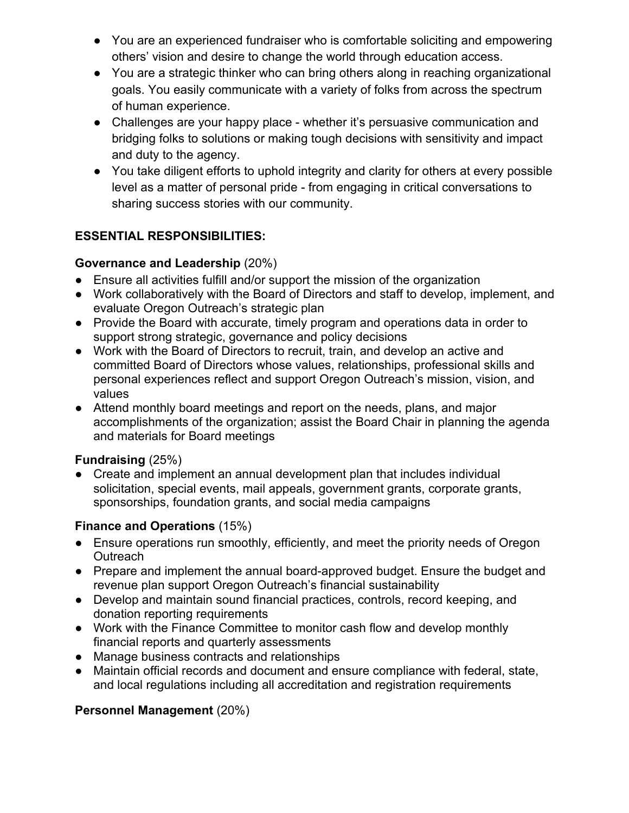- You are an experienced fundraiser who is comfortable soliciting and empowering others' vision and desire to change the world through education access.
- You are a strategic thinker who can bring others along in reaching organizational goals. You easily communicate with a variety of folks from across the spectrum of human experience.
- Challenges are your happy place whether it's persuasive communication and bridging folks to solutions or making tough decisions with sensitivity and impact and duty to the agency.
- You take diligent efforts to uphold integrity and clarity for others at every possible level as a matter of personal pride - from engaging in critical conversations to sharing success stories with our community.

## **ESSENTIAL RESPONSIBILITIES:**

#### **Governance and Leadership** (20%)

- Ensure all activities fulfill and/or support the mission of the organization
- Work collaboratively with the Board of Directors and staff to develop, implement, and evaluate Oregon Outreach's strategic plan
- Provide the Board with accurate, timely program and operations data in order to support strong strategic, governance and policy decisions
- Work with the Board of Directors to recruit, train, and develop an active and committed Board of Directors whose values, relationships, professional skills and personal experiences reflect and support Oregon Outreach's mission, vision, and values
- Attend monthly board meetings and report on the needs, plans, and major accomplishments of the organization; assist the Board Chair in planning the agenda and materials for Board meetings

#### **Fundraising** (25%)

Create and implement an annual development plan that includes individual solicitation, special events, mail appeals, government grants, corporate grants, sponsorships, foundation grants, and social media campaigns

# **Finance and Operations** (15%)

- Ensure operations run smoothly, efficiently, and meet the priority needs of Oregon **Outreach**
- Prepare and implement the annual board-approved budget. Ensure the budget and revenue plan support Oregon Outreach's financial sustainability
- Develop and maintain sound financial practices, controls, record keeping, and donation reporting requirements
- Work with the Finance Committee to monitor cash flow and develop monthly financial reports and quarterly assessments
- Manage business contracts and relationships
- Maintain official records and document and ensure compliance with federal, state, and local regulations including all accreditation and registration requirements

#### **Personnel Management** (20%)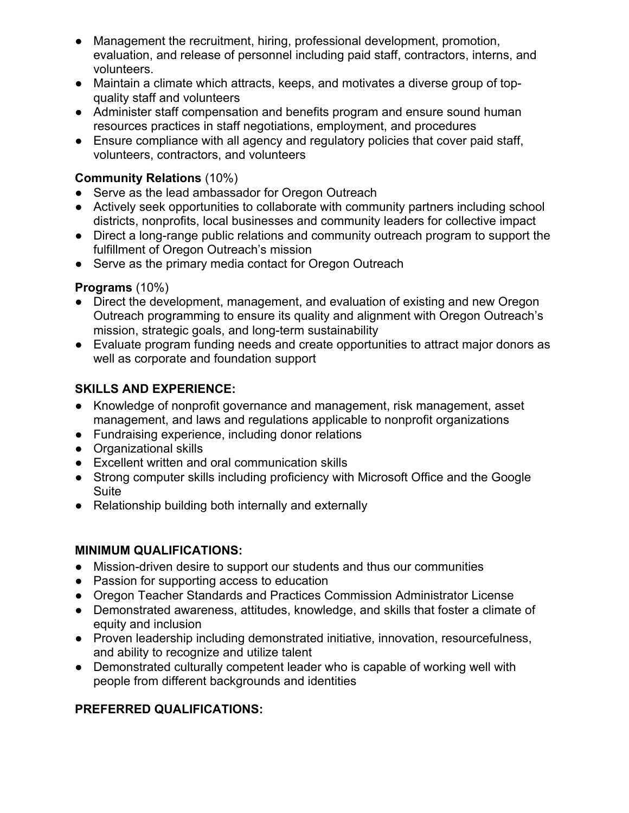- Management the recruitment, hiring, professional development, promotion, evaluation, and release of personnel including paid staff, contractors, interns, and volunteers.
- Maintain a climate which attracts, keeps, and motivates a diverse group of topquality staff and volunteers
- Administer staff compensation and benefits program and ensure sound human resources practices in staff negotiations, employment, and procedures
- Ensure compliance with all agency and regulatory policies that cover paid staff, volunteers, contractors, and volunteers

#### **Community Relations** (10%)

- Serve as the lead ambassador for Oregon Outreach
- Actively seek opportunities to collaborate with community partners including school districts, nonprofits, local businesses and community leaders for collective impact
- Direct a long-range public relations and community outreach program to support the fulfillment of Oregon Outreach's mission
- Serve as the primary media contact for Oregon Outreach

## **Programs** (10%)

- Direct the development, management, and evaluation of existing and new Oregon Outreach programming to ensure its quality and alignment with Oregon Outreach's mission, strategic goals, and long-term sustainability
- Evaluate program funding needs and create opportunities to attract major donors as well as corporate and foundation support

# **SKILLS AND EXPERIENCE:**

- Knowledge of nonprofit governance and management, risk management, asset management, and laws and regulations applicable to nonprofit organizations
- Fundraising experience, including donor relations
- Organizational skills
- Excellent written and oral communication skills
- Strong computer skills including proficiency with Microsoft Office and the Google Suite
- Relationship building both internally and externally

# **MINIMUM QUALIFICATIONS:**

- Mission-driven desire to support our students and thus our communities
- Passion for supporting access to education
- Oregon Teacher Standards and Practices Commission Administrator License
- Demonstrated awareness, attitudes, knowledge, and skills that foster a climate of equity and inclusion
- Proven leadership including demonstrated initiative, innovation, resourcefulness, and ability to recognize and utilize talent
- Demonstrated culturally competent leader who is capable of working well with people from different backgrounds and identities

# **PREFERRED QUALIFICATIONS:**